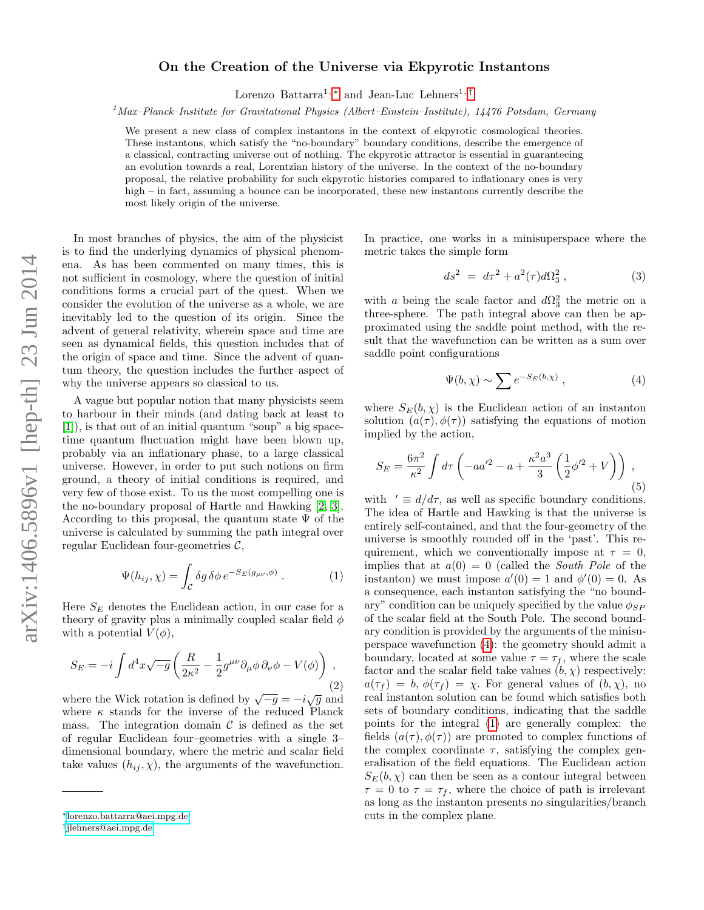## On the Creation of the Universe via Ekpyrotic Instantons

Lorenzo Battarra<sup>1, \*</sup> and Jean-Luc Lehners<sup>1, [†](#page-0-1)</sup>

 $1$ Max–Planck–Institute for Gravitational Physics (Albert–Einstein–Institute), 14476 Potsdam, Germany

We present a new class of complex instantons in the context of ekpyrotic cosmological theories. These instantons, which satisfy the "no-boundary" boundary conditions, describe the emergence of a classical, contracting universe out of nothing. The ekpyrotic attractor is essential in guaranteeing an evolution towards a real, Lorentzian history of the universe. In the context of the no-boundary proposal, the relative probability for such ekpyrotic histories compared to inflationary ones is very high – in fact, assuming a bounce can be incorporated, these new instantons currently describe the most likely origin of the universe.

In most branches of physics, the aim of the physicist is to find the underlying dynamics of physical phenomena. As has been commented on many times, this is not sufficient in cosmology, where the question of initial conditions forms a crucial part of the quest. When we consider the evolution of the universe as a whole, we are inevitably led to the question of its origin. Since the advent of general relativity, wherein space and time are seen as dynamical fields, this question includes that of the origin of space and time. Since the advent of quantum theory, the question includes the further aspect of why the universe appears so classical to us.

A vague but popular notion that many physicists seem to harbour in their minds (and dating back at least to [\[1\]](#page-4-0)), is that out of an initial quantum "soup" a big spacetime quantum fluctuation might have been blown up, probably via an inflationary phase, to a large classical universe. However, in order to put such notions on firm ground, a theory of initial conditions is required, and very few of those exist. To us the most compelling one is the no-boundary proposal of Hartle and Hawking [\[2,](#page-4-1) [3\]](#page-4-2). According to this proposal, the quantum state  $\Psi$  of the universe is calculated by summing the path integral over regular Euclidean four-geometries  $\mathcal{C}$ ,

<span id="page-0-3"></span>
$$
\Psi(h_{ij}, \chi) = \int_{\mathcal{C}} \delta g \, \delta \phi \, e^{-S_E(g_{\mu\nu}, \phi)} . \tag{1}
$$

Here  $S_E$  denotes the Euclidean action, in our case for a theory of gravity plus a minimally coupled scalar field  $\phi$ with a potential  $V(\phi)$ ,

$$
S_E = -i \int d^4x \sqrt{-g} \left( \frac{R}{2\kappa^2} - \frac{1}{2} g^{\mu\nu} \partial_\mu \phi \, \partial_\nu \phi - V(\phi) \right) , \tag{2}
$$

where the Wick rotation is defined by  $\sqrt{-g} = -i\sqrt{g}$  and where  $\kappa$  stands for the inverse of the reduced Planck mass. The integration domain  $\mathcal C$  is defined as the set of regular Euclidean four–geometries with a single 3– dimensional boundary, where the metric and scalar field take values  $(h_{ij}, \chi)$ , the arguments of the wavefunction.

In practice, one works in a minisuperspace where the metric takes the simple form

$$
ds^2 = d\tau^2 + a^2(\tau)d\Omega_3^2 , \qquad (3)
$$

with a being the scale factor and  $d\Omega_3^2$  the metric on a three-sphere. The path integral above can then be approximated using the saddle point method, with the result that the wavefunction can be written as a sum over saddle point configurations

<span id="page-0-2"></span>
$$
\Psi(b,\chi) \sim \sum e^{-S_E(b,\chi)}, \qquad (4)
$$

where  $S_E(b, \chi)$  is the Euclidean action of an instanton solution  $(a(\tau), \phi(\tau))$  satisfying the equations of motion implied by the action,

<span id="page-0-4"></span>
$$
S_E = \frac{6\pi^2}{\kappa^2} \int d\tau \left( -aa'^2 - a + \frac{\kappa^2 a^3}{3} \left( \frac{1}{2} \phi'^2 + V \right) \right) ,
$$
\n(5)

with  $\prime \equiv d/d\tau$ , as well as specific boundary conditions. The idea of Hartle and Hawking is that the universe is entirely self-contained, and that the four-geometry of the universe is smoothly rounded off in the 'past'. This requirement, which we conventionally impose at  $\tau = 0$ , implies that at  $a(0) = 0$  (called the *South Pole* of the instanton) we must impose  $a'(0) = 1$  and  $\phi'(0) = 0$ . As a consequence, each instanton satisfying the "no boundary" condition can be uniquely specified by the value  $\phi_{SP}$ of the scalar field at the South Pole. The second boundary condition is provided by the arguments of the minisuperspace wavefunction [\(4\)](#page-0-2): the geometry should admit a boundary, located at some value  $\tau = \tau_f$ , where the scale factor and the scalar field take values  $(b, \chi)$  respectively:  $a(\tau_f) = b, \phi(\tau_f) = \chi$ . For general values of  $(b, \chi)$ , no real instanton solution can be found which satisfies both sets of boundary conditions, indicating that the saddle points for the integral [\(1\)](#page-0-3) are generally complex: the fields  $(a(\tau), \phi(\tau))$  are promoted to complex functions of the complex coordinate  $\tau$ , satisfying the complex generalisation of the field equations. The Euclidean action  $S_E(b, \chi)$  can then be seen as a contour integral between  $\tau = 0$  to  $\tau = \tau_f$ , where the choice of path is irrelevant as long as the instanton presents no singularities/branch cuts in the complex plane.

<span id="page-0-0"></span><sup>∗</sup>[lorenzo.battarra@aei.mpg.de](mailto:lorenzo.battarra@aei.mpg.de)

<span id="page-0-1"></span><sup>†</sup> [jlehners@aei.mpg.de](mailto:jlehners@aei.mpg.de)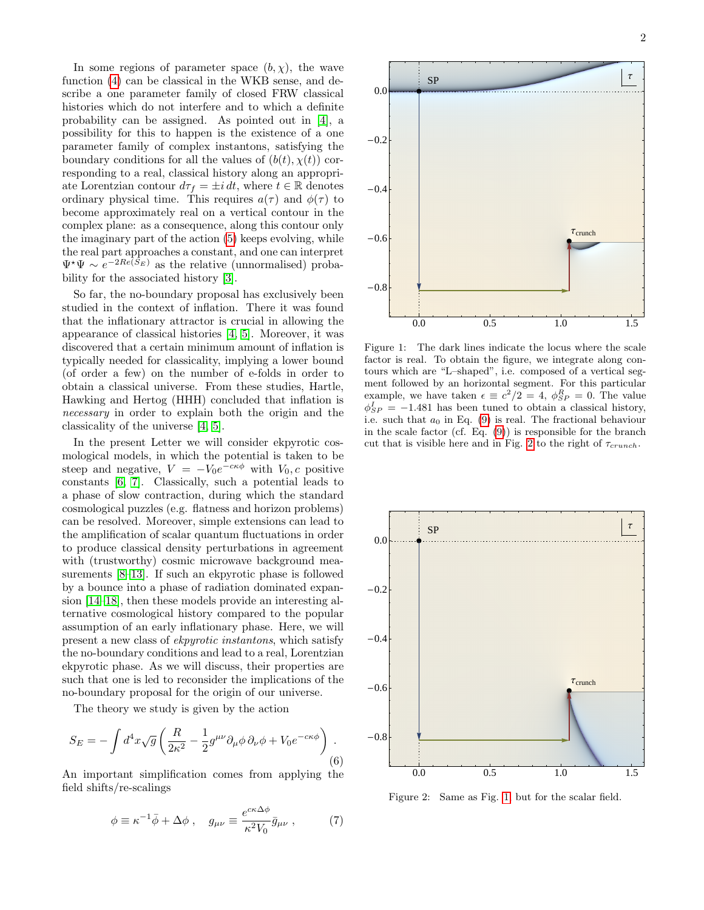In some regions of parameter space  $(b, \chi)$ , the wave function [\(4\)](#page-0-2) can be classical in the WKB sense, and describe a one parameter family of closed FRW classical histories which do not interfere and to which a definite probability can be assigned. As pointed out in [\[4\]](#page-4-3), a possibility for this to happen is the existence of a one parameter family of complex instantons, satisfying the boundary conditions for all the values of  $(b(t), \chi(t))$  corresponding to a real, classical history along an appropriate Lorentzian contour  $d\tau_f = \pm i dt$ , where  $t \in \mathbb{R}$  denotes ordinary physical time. This requires  $a(\tau)$  and  $\phi(\tau)$  to become approximately real on a vertical contour in the complex plane: as a consequence, along this contour only the imaginary part of the action [\(5\)](#page-0-4) keeps evolving, while the real part approaches a constant, and one can interpret  $\Psi^{\star}\Psi \sim e^{-2Re(S_E)}$  as the relative (unnormalised) probability for the associated history [\[3\]](#page-4-2).

So far, the no-boundary proposal has exclusively been studied in the context of inflation. There it was found that the inflationary attractor is crucial in allowing the appearance of classical histories [\[4,](#page-4-3) [5\]](#page-4-4). Moreover, it was discovered that a certain minimum amount of inflation is typically needed for classicality, implying a lower bound (of order a few) on the number of e-folds in order to obtain a classical universe. From these studies, Hartle, Hawking and Hertog (HHH) concluded that inflation is necessary in order to explain both the origin and the classicality of the universe [\[4,](#page-4-3) [5\]](#page-4-4).

In the present Letter we will consider ekpyrotic cosmological models, in which the potential is taken to be steep and negative,  $V = -V_0 e^{-c\kappa \phi}$  with  $V_0, c$  positive constants [\[6,](#page-4-5) [7\]](#page-4-6). Classically, such a potential leads to a phase of slow contraction, during which the standard cosmological puzzles (e.g. flatness and horizon problems) can be resolved. Moreover, simple extensions can lead to the amplification of scalar quantum fluctuations in order to produce classical density perturbations in agreement with (trustworthy) cosmic microwave background measurements [\[8–](#page-4-7)[13\]](#page-4-8). If such an ekpyrotic phase is followed by a bounce into a phase of radiation dominated expansion [\[14–](#page-4-9)[18\]](#page-4-10), then these models provide an interesting alternative cosmological history compared to the popular assumption of an early inflationary phase. Here, we will present a new class of ekpyrotic instantons, which satisfy the no-boundary conditions and lead to a real, Lorentzian ekpyrotic phase. As we will discuss, their properties are such that one is led to reconsider the implications of the no-boundary proposal for the origin of our universe.

The theory we study is given by the action

$$
S_E = -\int d^4x \sqrt{g} \left( \frac{R}{2\kappa^2} - \frac{1}{2} g^{\mu\nu} \partial_\mu \phi \, \partial_\nu \phi + V_0 e^{-c\kappa \phi} \right) . \tag{6}
$$

An important simplification comes from applying the field shifts/re-scalings

<span id="page-1-2"></span>
$$
\phi \equiv \kappa^{-1} \bar{\phi} + \Delta \phi \ , \quad g_{\mu\nu} \equiv \frac{e^{c\kappa \Delta \phi}}{\kappa^2 V_0} \bar{g}_{\mu\nu} \ , \tag{7}
$$



<span id="page-1-1"></span>Figure 1: The dark lines indicate the locus where the scale factor is real. To obtain the figure, we integrate along contours which are "L–shaped", i.e. composed of a vertical segment followed by an horizontal segment. For this particular example, we have taken  $\epsilon \equiv c^2/2 = 4$ ,  $\phi_{SP}^R = 0$ . The value  $\phi_{SP}^{I} = -1.481$  has been tuned to obtain a classical history, i.e. such that  $a_0$  in Eq. [\(9\)](#page-3-0) is real. The fractional behaviour in the scale factor (cf. Eq.  $(9)$ ) is responsible for the branch cut that is visible here and in Fig. [2](#page-1-0) to the right of  $\tau_{crunch}$ .



<span id="page-1-0"></span>Figure 2: Same as Fig. [1,](#page-1-1) but for the scalar field.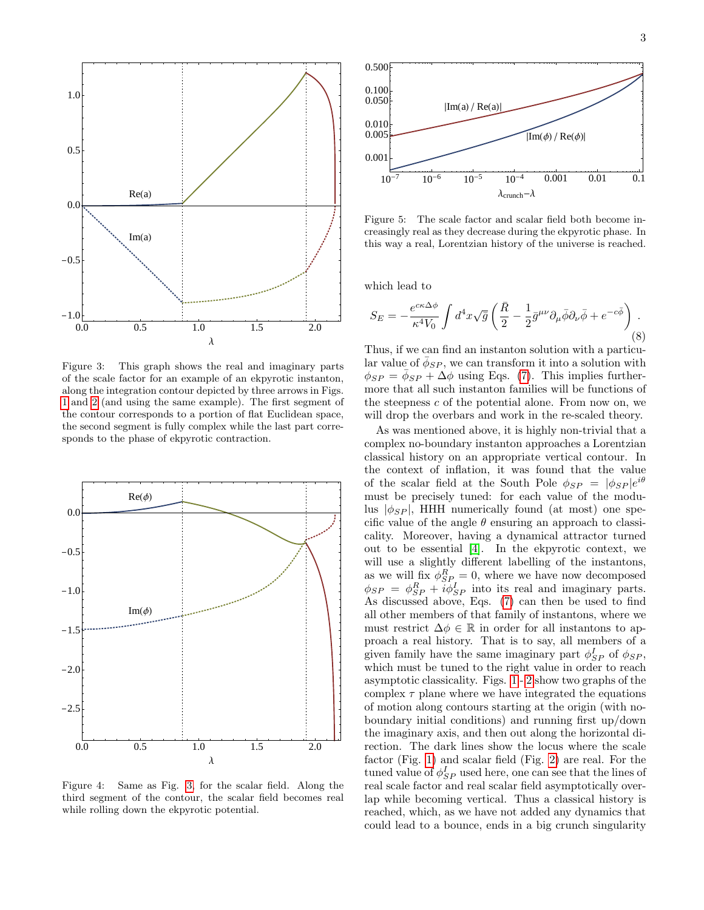

3



<span id="page-2-0"></span>Figure 3: This graph shows the real and imaginary parts of the scale factor for an example of an ekpyrotic instanton, along the integration contour depicted by three arrows in Figs. [1](#page-1-1) and [2](#page-1-0) (and using the same example). The first segment of the contour corresponds to a portion of flat Euclidean space, the second segment is fully complex while the last part corresponds to the phase of ekpyrotic contraction.



<span id="page-2-1"></span>Figure 4: Same as Fig. [3,](#page-2-0) for the scalar field. Along the third segment of the contour, the scalar field becomes real while rolling down the ekpyrotic potential.



<span id="page-2-2"></span>Figure 5: The scale factor and scalar field both become increasingly real as they decrease during the ekpyrotic phase. In this way a real, Lorentzian history of the universe is reached.

which lead to

<span id="page-2-3"></span>
$$
S_E = -\frac{e^{c\kappa\Delta\phi}}{\kappa^4 V_0} \int d^4x \sqrt{\bar{g}} \left(\frac{\bar{R}}{2} - \frac{1}{2}\bar{g}^{\mu\nu}\partial_\mu\bar{\phi}\partial_\nu\bar{\phi} + e^{-c\bar{\phi}}\right). \tag{8}
$$

Thus, if we can find an instanton solution with a particular value of  $\bar{\phi}_{SP}$ , we can transform it into a solution with  $\phi_{SP} = \bar{\phi}_{SP} + \Delta \phi$  using Eqs. [\(7\)](#page-1-2). This implies furthermore that all such instanton families will be functions of the steepness  $c$  of the potential alone. From now on, we will drop the overbars and work in the re-scaled theory.

As was mentioned above, it is highly non-trivial that a complex no-boundary instanton approaches a Lorentzian classical history on an appropriate vertical contour. In the context of inflation, it was found that the value of the scalar field at the South Pole  $\phi_{SP} = |\phi_{SP}|e^{i\theta}$ must be precisely tuned: for each value of the modulus  $|\phi_{SP}|$ , HHH numerically found (at most) one specific value of the angle  $\theta$  ensuring an approach to classicality. Moreover, having a dynamical attractor turned out to be essential [\[4\]](#page-4-3). In the ekpyrotic context, we will use a slightly different labelling of the instantons, as we will fix  $\phi_{SP}^R = 0$ , where we have now decomposed  $\phi_{SP} = \phi_{SP}^R + i\bar{\phi}_{SP}^I$  into its real and imaginary parts. As discussed above, Eqs. [\(7\)](#page-1-2) can then be used to find all other members of that family of instantons, where we must restrict  $\Delta \phi \in \mathbb{R}$  in order for all instantons to approach a real history. That is to say, all members of a given family have the same imaginary part  $\phi_{SP}^I$  of  $\phi_{SP}$ , which must be tuned to the right value in order to reach asymptotic classicality. Figs. [1](#page-1-1) - [2](#page-1-0) show two graphs of the complex  $\tau$  plane where we have integrated the equations of motion along contours starting at the origin (with noboundary initial conditions) and running first up/down the imaginary axis, and then out along the horizontal direction. The dark lines show the locus where the scale factor (Fig. [1\)](#page-1-1) and scalar field (Fig. [2\)](#page-1-0) are real. For the tuned value of  $\phi_{SP}^I$  used here, one can see that the lines of real scale factor and real scalar field asymptotically overlap while becoming vertical. Thus a classical history is reached, which, as we have not added any dynamics that could lead to a bounce, ends in a big crunch singularity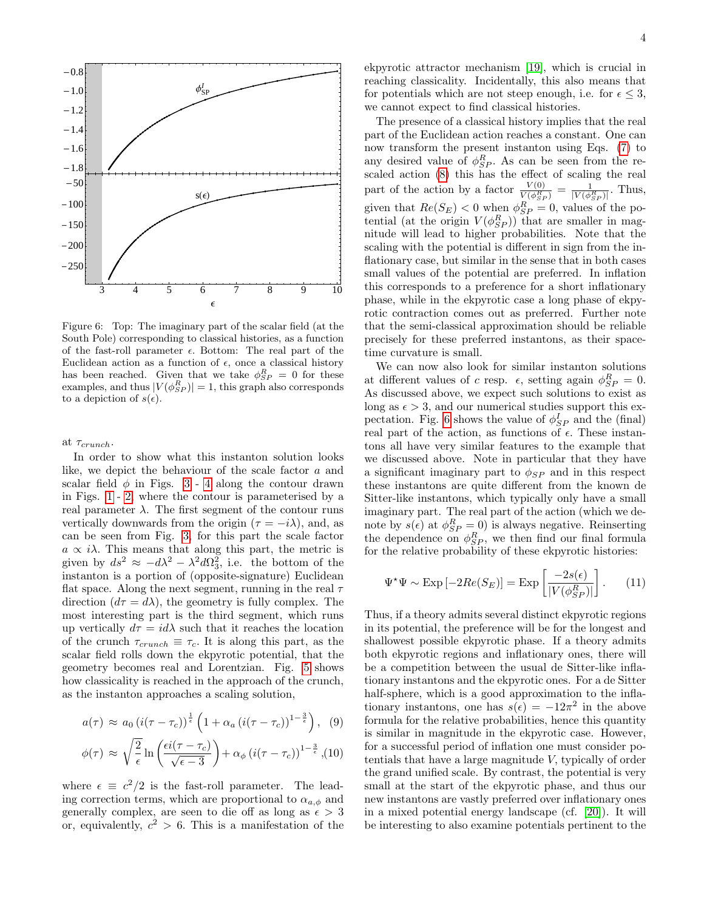

<span id="page-3-1"></span>Figure 6: Top: The imaginary part of the scalar field (at the South Pole) corresponding to classical histories, as a function of the fast-roll parameter  $\epsilon$ . Bottom: The real part of the Euclidean action as a function of  $\epsilon$ , once a classical history has been reached. Given that we take  $\phi_{SP}^{R} = 0$  for these examples, and thus  $|V(\phi_{SP}^{R})| = 1$ , this graph also corresponds to a depiction of  $s(\epsilon)$ .

at  $\tau_{crunch}$ .

In order to show what this instanton solution looks like, we depict the behaviour of the scale factor a and scalar field  $\phi$  in Figs. [3](#page-2-0) - [4](#page-2-1) along the contour drawn in Figs. [1](#page-1-1) - [2,](#page-1-0) where the contour is parameterised by a real parameter  $\lambda$ . The first segment of the contour runs vertically downwards from the origin ( $\tau = -i\lambda$ ), and, as can be seen from Fig. [3,](#page-2-0) for this part the scale factor  $a \propto i\lambda$ . This means that along this part, the metric is given by  $ds^2 \approx -d\lambda^2 - \lambda^2 d\Omega_3^2$ , i.e. the bottom of the instanton is a portion of (opposite-signature) Euclidean flat space. Along the next segment, running in the real  $\tau$ direction  $(d\tau = d\lambda)$ , the geometry is fully complex. The most interesting part is the third segment, which runs up vertically  $d\tau = id\lambda$  such that it reaches the location of the crunch  $\tau_{crunch} \equiv \tau_c$ . It is along this part, as the scalar field rolls down the ekpyrotic potential, that the geometry becomes real and Lorentzian. Fig. [5](#page-2-2) shows how classicality is reached in the approach of the crunch, as the instanton approaches a scaling solution,

<span id="page-3-0"></span>
$$
a(\tau) \approx a_0 \left(i(\tau - \tau_c)\right)^{\frac{1}{\epsilon}} \left(1 + \alpha_a \left(i(\tau - \tau_c)\right)^{1 - \frac{3}{\epsilon}}\right), \tag{9}
$$

$$
\phi(\tau) \approx \sqrt{\frac{2}{\epsilon}} \ln \left( \frac{\epsilon i (\tau - \tau_c)}{\sqrt{\epsilon - 3}} \right) + \alpha_{\phi} \left( i (\tau - \tau_c) \right)^{1 - \frac{3}{\epsilon}}, (10)
$$

where  $\epsilon \equiv c^2/2$  is the fast-roll parameter. The leading correction terms, which are proportional to  $\alpha_{a,\phi}$  and generally complex, are seen to die off as long as  $\epsilon > 3$ or, equivalently,  $c^2 > 6$ . This is a manifestation of the

ekpyrotic attractor mechanism [\[19\]](#page-4-11), which is crucial in reaching classicality. Incidentally, this also means that for potentials which are not steep enough, i.e. for  $\epsilon \leq 3$ , we cannot expect to find classical histories.

The presence of a classical history implies that the real part of the Euclidean action reaches a constant. One can now transform the present instanton using Eqs. [\(7\)](#page-1-2) to any desired value of  $\phi_{SP}^{R}$ . As can be seen from the rescaled action [\(8\)](#page-2-3) this has the effect of scaling the real part of the action by a factor  $\frac{V(0)}{V(\phi_{SP}^R)} = \frac{1}{|V(\phi_{SP}^R)|}$ . Thus, given that  $Re(S_E) < 0$  when  $\phi_{SP}^R = 0$ , values of the potential (at the origin  $V(\phi_{SP}^{R})$ ) that are smaller in magnitude will lead to higher probabilities. Note that the scaling with the potential is different in sign from the inflationary case, but similar in the sense that in both cases small values of the potential are preferred. In inflation this corresponds to a preference for a short inflationary phase, while in the ekpyrotic case a long phase of ekpyrotic contraction comes out as preferred. Further note that the semi-classical approximation should be reliable precisely for these preferred instantons, as their spacetime curvature is small.

We can now also look for similar instanton solutions at different values of c resp.  $\epsilon$ , setting again  $\phi_{SP}^R = 0$ . As discussed above, we expect such solutions to exist as long as  $\epsilon > 3$ , and our numerical studies support this ex-pectation. Fig. [6](#page-3-1) shows the value of  $\phi_{SP}^{I}$  and the (final) real part of the action, as functions of  $\epsilon$ . These instantons all have very similar features to the example that we discussed above. Note in particular that they have a significant imaginary part to  $\phi_{SP}$  and in this respect these instantons are quite different from the known de Sitter-like instantons, which typically only have a small imaginary part. The real part of the action (which we denote by  $s(\epsilon)$  at  $\phi_{SP}^{R} = 0$ ) is always negative. Reinserting the dependence on  $\phi_{SP}^{R}$ , we then find our final formula for the relative probability of these ekpyrotic histories:

$$
\Psi^{\star}\Psi \sim \text{Exp}\left[-2Re(S_E)\right] = \text{Exp}\left[\frac{-2s(\epsilon)}{|V(\phi_{SP}^R)|}\right].\tag{11}
$$

Thus, if a theory admits several distinct ekpyrotic regions in its potential, the preference will be for the longest and shallowest possible ekpyrotic phase. If a theory admits both ekpyrotic regions and inflationary ones, there will be a competition between the usual de Sitter-like inflationary instantons and the ekpyrotic ones. For a de Sitter half-sphere, which is a good approximation to the inflationary instantons, one has  $s(\epsilon) = -12\pi^2$  in the above formula for the relative probabilities, hence this quantity is similar in magnitude in the ekpyrotic case. However, for a successful period of inflation one must consider potentials that have a large magnitude V, typically of order the grand unified scale. By contrast, the potential is very small at the start of the ekpyrotic phase, and thus our new instantons are vastly preferred over inflationary ones in a mixed potential energy landscape (cf. [\[20\]](#page-4-12)). It will be interesting to also examine potentials pertinent to the